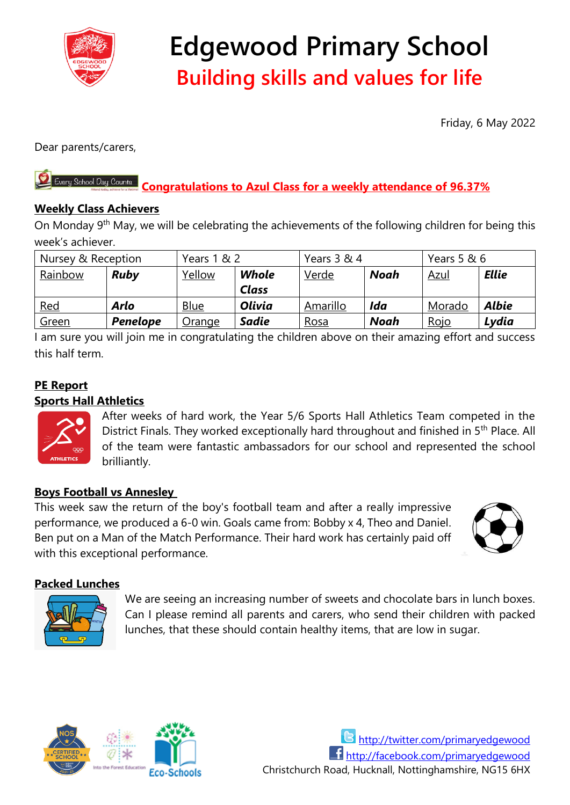

# **Edgewood Primary School Building skills and values for life**

Friday, 6 May 2022

Dear parents/carers,

#### Every School Day Counts **Congratulations to Azul Class for a weekly attendance of 96.37%**

# **Weekly Class Achievers**

On Monday 9<sup>th</sup> May, we will be celebrating the achievements of the following children for being this week's achiever.

| Nursey & Reception |             | Years 1 & 2 |               | Years 3 & 4  |             | Years 5 & 6 |              |
|--------------------|-------------|-------------|---------------|--------------|-------------|-------------|--------------|
| Rainbow            | <b>Ruby</b> | Yellow      | Whole         | <u>Verde</u> | <b>Noah</b> | <u>Azul</u> | <b>Ellie</b> |
|                    |             |             | <b>Class</b>  |              |             |             |              |
| <u>Red</u>         | Arlo        | <b>Blue</b> | <b>Olivia</b> | Amarillo     | Ida         | Morado      | <b>Albie</b> |
| Green              | Penelope    | Orange      | <b>Sadie</b>  | Rosa         | <b>Noah</b> | <u>Rojo</u> | Lydia        |

I am sure you will join me in congratulating the children above on their amazing effort and success this half term.

# **PE Report**

### **Sports Hall Athletics**



After weeks of hard work, the Year 5/6 Sports Hall Athletics Team competed in the District Finals. They worked exceptionally hard throughout and finished in 5<sup>th</sup> Place. All of the team were fantastic ambassadors for our school and represented the school brilliantly.

# **Boys Football vs Annesley**

This week saw the return of the boy's football team and after a really impressive performance, we produced a 6-0 win. Goals came from: Bobby x 4, Theo and Daniel. Ben put on a Man of the Match Performance. Their hard work has certainly paid off with this exceptional performance.



# **Packed Lunches**

We are seeing an increasing number of sweets and chocolate bars in lunch boxes. Can I please remind all parents and carers, who send their children with packed lunches, that these should contain healthy items, that are low in sugar.



<http://twitter.com/primaryedgewood> <http://facebook.com/primaryedgewood> Christchurch Road, Hucknall, Nottinghamshire, NG15 6HX